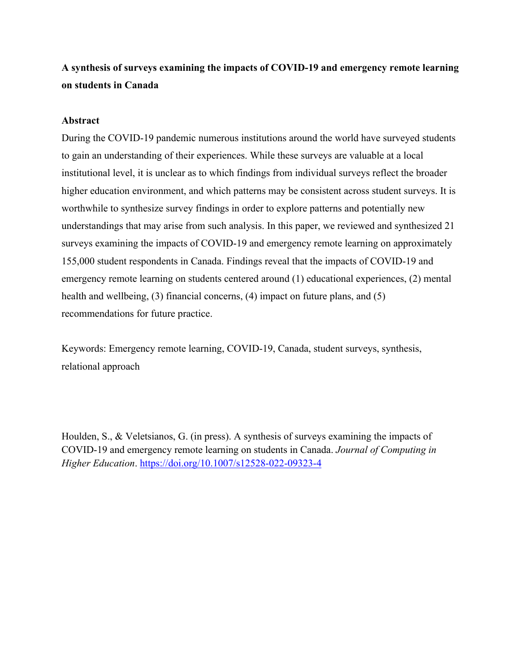# **A synthesis of surveys examining the impacts of COVID-19 and emergency remote learning on students in Canada**

# **Abstract**

During the COVID-19 pandemic numerous institutions around the world have surveyed students to gain an understanding of their experiences. While these surveys are valuable at a local institutional level, it is unclear as to which findings from individual surveys reflect the broader higher education environment, and which patterns may be consistent across student surveys. It is worthwhile to synthesize survey findings in order to explore patterns and potentially new understandings that may arise from such analysis. In this paper, we reviewed and synthesized 21 surveys examining the impacts of COVID-19 and emergency remote learning on approximately 155,000 student respondents in Canada. Findings reveal that the impacts of COVID-19 and emergency remote learning on students centered around (1) educational experiences, (2) mental health and wellbeing, (3) financial concerns, (4) impact on future plans, and (5) recommendations for future practice.

Keywords: Emergency remote learning, COVID-19, Canada, student surveys, synthesis, relational approach

Houlden, S., & Veletsianos, G. (in press). A synthesis of surveys examining the impacts of COVID-19 and emergency remote learning on students in Canada. *Journal of Computing in Higher Education*. https://doi.org/10.1007/s12528-022-09323-4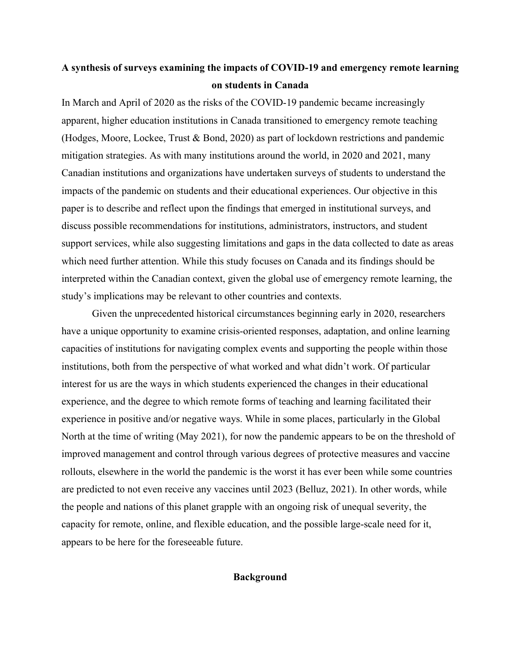# **A synthesis of surveys examining the impacts of COVID-19 and emergency remote learning on students in Canada**

In March and April of 2020 as the risks of the COVID-19 pandemic became increasingly apparent, higher education institutions in Canada transitioned to emergency remote teaching (Hodges, Moore, Lockee, Trust & Bond, 2020) as part of lockdown restrictions and pandemic mitigation strategies. As with many institutions around the world, in 2020 and 2021, many Canadian institutions and organizations have undertaken surveys of students to understand the impacts of the pandemic on students and their educational experiences. Our objective in this paper is to describe and reflect upon the findings that emerged in institutional surveys, and discuss possible recommendations for institutions, administrators, instructors, and student support services, while also suggesting limitations and gaps in the data collected to date as areas which need further attention. While this study focuses on Canada and its findings should be interpreted within the Canadian context, given the global use of emergency remote learning, the study's implications may be relevant to other countries and contexts.

Given the unprecedented historical circumstances beginning early in 2020, researchers have a unique opportunity to examine crisis-oriented responses, adaptation, and online learning capacities of institutions for navigating complex events and supporting the people within those institutions, both from the perspective of what worked and what didn't work. Of particular interest for us are the ways in which students experienced the changes in their educational experience, and the degree to which remote forms of teaching and learning facilitated their experience in positive and/or negative ways. While in some places, particularly in the Global North at the time of writing (May 2021), for now the pandemic appears to be on the threshold of improved management and control through various degrees of protective measures and vaccine rollouts, elsewhere in the world the pandemic is the worst it has ever been while some countries are predicted to not even receive any vaccines until 2023 (Belluz, 2021). In other words, while the people and nations of this planet grapple with an ongoing risk of unequal severity, the capacity for remote, online, and flexible education, and the possible large-scale need for it, appears to be here for the foreseeable future.

# **Background**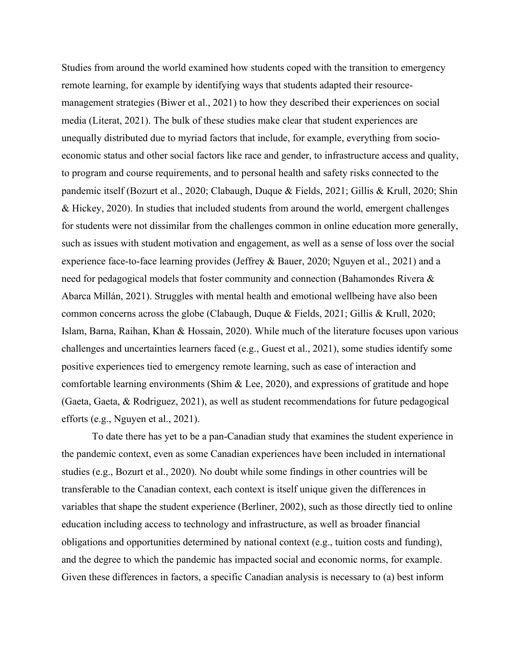Studies from around the world examined how students coped with the transition to emergency remote learning, for example by identifying ways that students adapted their resourcemanagement strategies (Biwer et al., 2021) to how they described their experiences on social media (Literat, 2021). The bulk of these studies make clear that student experiences are unequally distributed due to myriad factors that include, for example, everything from socioeconomic status and other social factors like race and gender, to infrastructure access and quality, to program and course requirements, and to personal health and safety risks connected to the pandemic itself (Bozurt et al., 2020; Clabaugh, Duque & Fields, 2021; Gillis & Krull, 2020; Shin & Hickey, 2020). In studies that included students from around the world, emergent challenges for students were not dissimilar from the challenges common in online education more generally, such as issues with student motivation and engagement, as well as a sense of loss over the social experience face-to-face learning provides (Jeffrey & Bauer, 2020; Nguyen et al., 2021) and a need for pedagogical models that foster community and connection (Bahamondes Rivera & Abarca Millán, 2021). Struggles with mental health and emotional wellbeing have also been common concerns across the globe (Clabaugh, Duque & Fields, 2021; Gillis & Krull, 2020; Islam, Barna, Raihan, Khan & Hossain, 2020). While much of the literature focuses upon various challenges and uncertainties learners faced (e.g., Guest et al., 2021), some studies identify some positive experiences tied to emergency remote learning, such as ease of interaction and comfortable learning environments (Shim & Lee, 2020), and expressions of gratitude and hope (Gaeta, Gaeta, & Rodriguez, 2021), as well as student recommendations for future pedagogical efforts (e.g., Nguyen et al., 2021).

To date there has yet to be a pan-Canadian study that examines the student experience in the pandemic context, even as some Canadian experiences have been included in international studies (e.g., Bozurt et al., 2020). No doubt while some findings in other countries will be transferable to the Canadian context, each context is itself unique given the differences in variables that shape the student experience (Berliner, 2002), such as those directly tied to online education including access to technology and infrastructure, as well as broader financial obligations and opportunities determined by national context (e.g., tuition costs and funding), and the degree to which the pandemic has impacted social and economic norms, for example. Given these differences in factors, a specific Canadian analysis is necessary to (a) best inform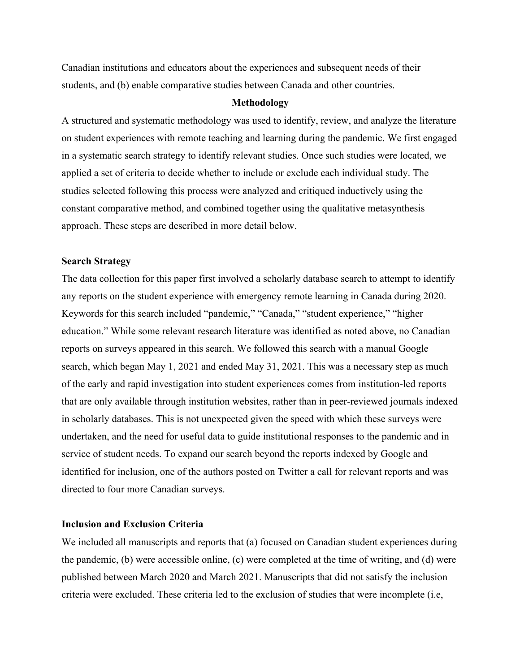Canadian institutions and educators about the experiences and subsequent needs of their students, and (b) enable comparative studies between Canada and other countries.

# **Methodology**

A structured and systematic methodology was used to identify, review, and analyze the literature on student experiences with remote teaching and learning during the pandemic. We first engaged in a systematic search strategy to identify relevant studies. Once such studies were located, we applied a set of criteria to decide whether to include or exclude each individual study. The studies selected following this process were analyzed and critiqued inductively using the constant comparative method, and combined together using the qualitative metasynthesis approach. These steps are described in more detail below.

# **Search Strategy**

The data collection for this paper first involved a scholarly database search to attempt to identify any reports on the student experience with emergency remote learning in Canada during 2020. Keywords for this search included "pandemic," "Canada," "student experience," "higher education." While some relevant research literature was identified as noted above, no Canadian reports on surveys appeared in this search. We followed this search with a manual Google search, which began May 1, 2021 and ended May 31, 2021. This was a necessary step as much of the early and rapid investigation into student experiences comes from institution-led reports that are only available through institution websites, rather than in peer-reviewed journals indexed in scholarly databases. This is not unexpected given the speed with which these surveys were undertaken, and the need for useful data to guide institutional responses to the pandemic and in service of student needs. To expand our search beyond the reports indexed by Google and identified for inclusion, one of the authors posted on Twitter a call for relevant reports and was directed to four more Canadian surveys.

# **Inclusion and Exclusion Criteria**

We included all manuscripts and reports that (a) focused on Canadian student experiences during the pandemic, (b) were accessible online, (c) were completed at the time of writing, and (d) were published between March 2020 and March 2021. Manuscripts that did not satisfy the inclusion criteria were excluded. These criteria led to the exclusion of studies that were incomplete (i.e,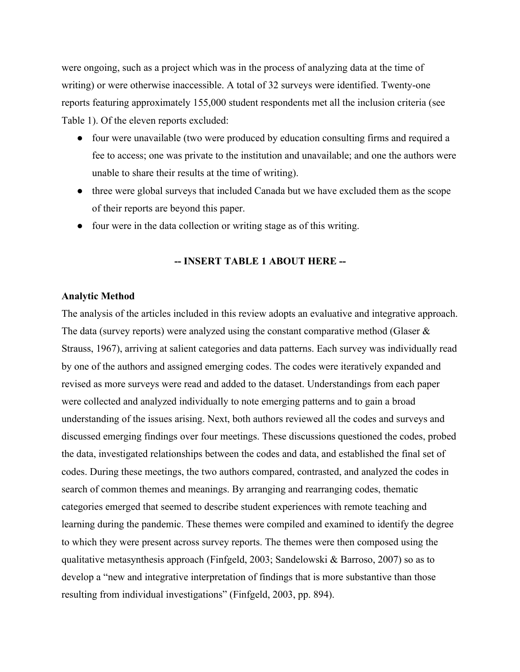were ongoing, such as a project which was in the process of analyzing data at the time of writing) or were otherwise inaccessible. A total of 32 surveys were identified. Twenty-one reports featuring approximately 155,000 student respondents met all the inclusion criteria (see Table 1). Of the eleven reports excluded:

- four were unavailable (two were produced by education consulting firms and required a fee to access; one was private to the institution and unavailable; and one the authors were unable to share their results at the time of writing).
- three were global surveys that included Canada but we have excluded them as the scope of their reports are beyond this paper.
- four were in the data collection or writing stage as of this writing.

# **-- INSERT TABLE 1 ABOUT HERE --**

#### **Analytic Method**

The analysis of the articles included in this review adopts an evaluative and integrative approach. The data (survey reports) were analyzed using the constant comparative method (Glaser & Strauss, 1967), arriving at salient categories and data patterns. Each survey was individually read by one of the authors and assigned emerging codes. The codes were iteratively expanded and revised as more surveys were read and added to the dataset. Understandings from each paper were collected and analyzed individually to note emerging patterns and to gain a broad understanding of the issues arising. Next, both authors reviewed all the codes and surveys and discussed emerging findings over four meetings. These discussions questioned the codes, probed the data, investigated relationships between the codes and data, and established the final set of codes. During these meetings, the two authors compared, contrasted, and analyzed the codes in search of common themes and meanings. By arranging and rearranging codes, thematic categories emerged that seemed to describe student experiences with remote teaching and learning during the pandemic. These themes were compiled and examined to identify the degree to which they were present across survey reports. The themes were then composed using the qualitative metasynthesis approach (Finfgeld, 2003; Sandelowski & Barroso, 2007) so as to develop a "new and integrative interpretation of findings that is more substantive than those resulting from individual investigations" (Finfgeld, 2003, pp. 894).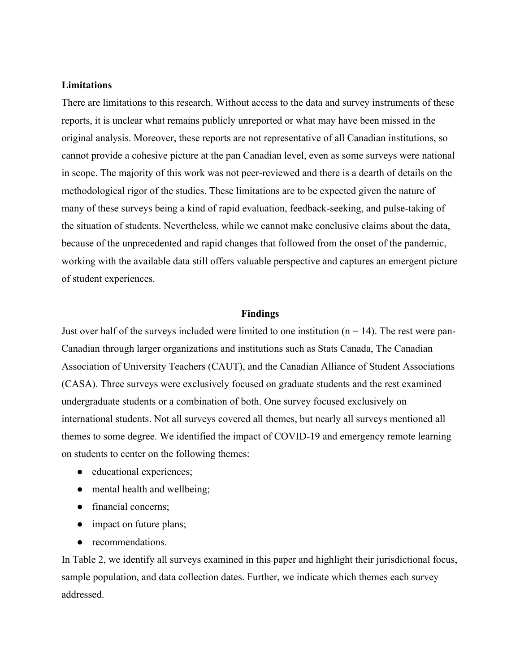# **Limitations**

There are limitations to this research. Without access to the data and survey instruments of these reports, it is unclear what remains publicly unreported or what may have been missed in the original analysis. Moreover, these reports are not representative of all Canadian institutions, so cannot provide a cohesive picture at the pan Canadian level, even as some surveys were national in scope. The majority of this work was not peer-reviewed and there is a dearth of details on the methodological rigor of the studies. These limitations are to be expected given the nature of many of these surveys being a kind of rapid evaluation, feedback-seeking, and pulse-taking of the situation of students. Nevertheless, while we cannot make conclusive claims about the data, because of the unprecedented and rapid changes that followed from the onset of the pandemic, working with the available data still offers valuable perspective and captures an emergent picture of student experiences.

#### **Findings**

Just over half of the surveys included were limited to one institution ( $n = 14$ ). The rest were pan-Canadian through larger organizations and institutions such as Stats Canada, The Canadian Association of University Teachers (CAUT), and the Canadian Alliance of Student Associations (CASA). Three surveys were exclusively focused on graduate students and the rest examined undergraduate students or a combination of both. One survey focused exclusively on international students. Not all surveys covered all themes, but nearly all surveys mentioned all themes to some degree. We identified the impact of COVID-19 and emergency remote learning on students to center on the following themes:

- educational experiences;
- mental health and wellbeing;
- financial concerns;
- impact on future plans;
- recommendations.

In Table 2, we identify all surveys examined in this paper and highlight their jurisdictional focus, sample population, and data collection dates. Further, we indicate which themes each survey addressed.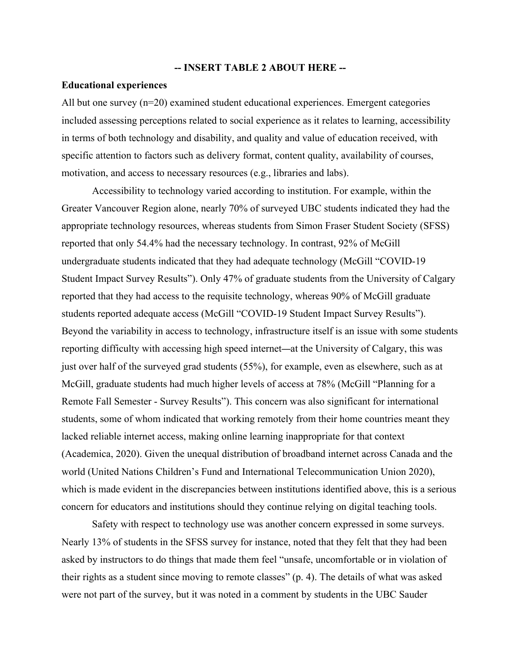#### **-- INSERT TABLE 2 ABOUT HERE --**

#### **Educational experiences**

All but one survey  $(n=20)$  examined student educational experiences. Emergent categories included assessing perceptions related to social experience as it relates to learning, accessibility in terms of both technology and disability, and quality and value of education received, with specific attention to factors such as delivery format, content quality, availability of courses, motivation, and access to necessary resources (e.g., libraries and labs).

Accessibility to technology varied according to institution. For example, within the Greater Vancouver Region alone, nearly 70% of surveyed UBC students indicated they had the appropriate technology resources, whereas students from Simon Fraser Student Society (SFSS) reported that only 54.4% had the necessary technology. In contrast, 92% of McGill undergraduate students indicated that they had adequate technology (McGill "COVID-19 Student Impact Survey Results"). Only 47% of graduate students from the University of Calgary reported that they had access to the requisite technology, whereas 90% of McGill graduate students reported adequate access (McGill "COVID-19 Student Impact Survey Results"). Beyond the variability in access to technology, infrastructure itself is an issue with some students reporting difficulty with accessing high speed internet—at the University of Calgary, this was just over half of the surveyed grad students (55%), for example, even as elsewhere, such as at McGill, graduate students had much higher levels of access at 78% (McGill "Planning for a Remote Fall Semester - Survey Results"). This concern was also significant for international students, some of whom indicated that working remotely from their home countries meant they lacked reliable internet access, making online learning inappropriate for that context (Academica, 2020). Given the unequal distribution of broadband internet across Canada and the world (United Nations Children's Fund and International Telecommunication Union 2020), which is made evident in the discrepancies between institutions identified above, this is a serious concern for educators and institutions should they continue relying on digital teaching tools.

Safety with respect to technology use was another concern expressed in some surveys. Nearly 13% of students in the SFSS survey for instance, noted that they felt that they had been asked by instructors to do things that made them feel "unsafe, uncomfortable or in violation of their rights as a student since moving to remote classes" (p. 4). The details of what was asked were not part of the survey, but it was noted in a comment by students in the UBC Sauder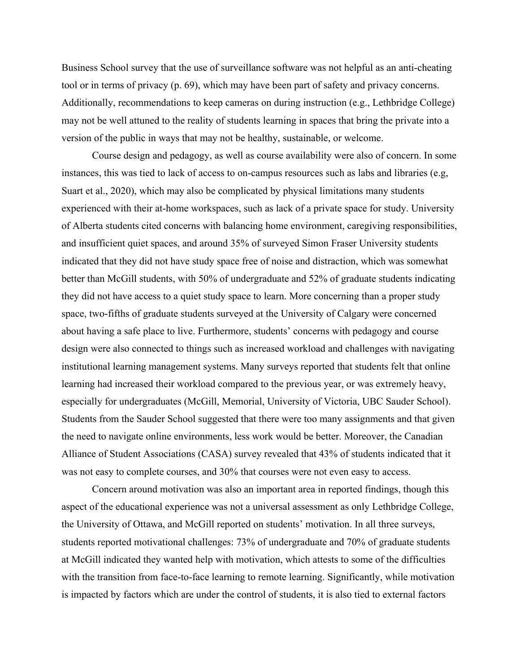Business School survey that the use of surveillance software was not helpful as an anti-cheating tool or in terms of privacy (p. 69), which may have been part of safety and privacy concerns. Additionally, recommendations to keep cameras on during instruction (e.g., Lethbridge College) may not be well attuned to the reality of students learning in spaces that bring the private into a version of the public in ways that may not be healthy, sustainable, or welcome.

Course design and pedagogy, as well as course availability were also of concern. In some instances, this was tied to lack of access to on-campus resources such as labs and libraries (e.g, Suart et al., 2020), which may also be complicated by physical limitations many students experienced with their at-home workspaces, such as lack of a private space for study. University of Alberta students cited concerns with balancing home environment, caregiving responsibilities, and insufficient quiet spaces, and around 35% of surveyed Simon Fraser University students indicated that they did not have study space free of noise and distraction, which was somewhat better than McGill students, with 50% of undergraduate and 52% of graduate students indicating they did not have access to a quiet study space to learn. More concerning than a proper study space, two-fifths of graduate students surveyed at the University of Calgary were concerned about having a safe place to live. Furthermore, students' concerns with pedagogy and course design were also connected to things such as increased workload and challenges with navigating institutional learning management systems. Many surveys reported that students felt that online learning had increased their workload compared to the previous year, or was extremely heavy, especially for undergraduates (McGill, Memorial, University of Victoria, UBC Sauder School). Students from the Sauder School suggested that there were too many assignments and that given the need to navigate online environments, less work would be better. Moreover, the Canadian Alliance of Student Associations (CASA) survey revealed that 43% of students indicated that it was not easy to complete courses, and 30% that courses were not even easy to access.

Concern around motivation was also an important area in reported findings, though this aspect of the educational experience was not a universal assessment as only Lethbridge College, the University of Ottawa, and McGill reported on students' motivation. In all three surveys, students reported motivational challenges: 73% of undergraduate and 70% of graduate students at McGill indicated they wanted help with motivation, which attests to some of the difficulties with the transition from face-to-face learning to remote learning. Significantly, while motivation is impacted by factors which are under the control of students, it is also tied to external factors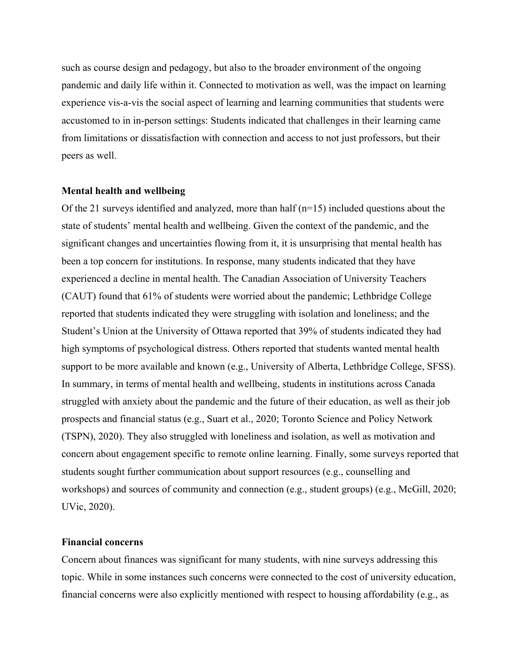such as course design and pedagogy, but also to the broader environment of the ongoing pandemic and daily life within it. Connected to motivation as well, was the impact on learning experience vis-a-vis the social aspect of learning and learning communities that students were accustomed to in in-person settings: Students indicated that challenges in their learning came from limitations or dissatisfaction with connection and access to not just professors, but their peers as well.

#### **Mental health and wellbeing**

Of the 21 surveys identified and analyzed, more than half  $(n=15)$  included questions about the state of students' mental health and wellbeing. Given the context of the pandemic, and the significant changes and uncertainties flowing from it, it is unsurprising that mental health has been a top concern for institutions. In response, many students indicated that they have experienced a decline in mental health. The Canadian Association of University Teachers (CAUT) found that 61% of students were worried about the pandemic; Lethbridge College reported that students indicated they were struggling with isolation and loneliness; and the Student's Union at the University of Ottawa reported that 39% of students indicated they had high symptoms of psychological distress. Others reported that students wanted mental health support to be more available and known (e.g., University of Alberta, Lethbridge College, SFSS). In summary, in terms of mental health and wellbeing, students in institutions across Canada struggled with anxiety about the pandemic and the future of their education, as well as their job prospects and financial status (e.g., Suart et al., 2020; Toronto Science and Policy Network (TSPN), 2020). They also struggled with loneliness and isolation, as well as motivation and concern about engagement specific to remote online learning. Finally, some surveys reported that students sought further communication about support resources (e.g., counselling and workshops) and sources of community and connection (e.g., student groups) (e.g., McGill, 2020; UVic, 2020).

# **Financial concerns**

Concern about finances was significant for many students, with nine surveys addressing this topic. While in some instances such concerns were connected to the cost of university education, financial concerns were also explicitly mentioned with respect to housing affordability (e.g., as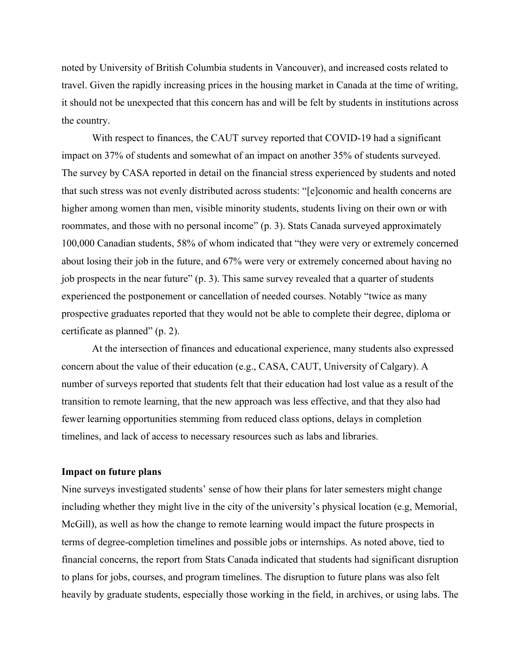noted by University of British Columbia students in Vancouver), and increased costs related to travel. Given the rapidly increasing prices in the housing market in Canada at the time of writing, it should not be unexpected that this concern has and will be felt by students in institutions across the country.

With respect to finances, the CAUT survey reported that COVID-19 had a significant impact on 37% of students and somewhat of an impact on another 35% of students surveyed. The survey by CASA reported in detail on the financial stress experienced by students and noted that such stress was not evenly distributed across students: "[e]conomic and health concerns are higher among women than men, visible minority students, students living on their own or with roommates, and those with no personal income" (p. 3). Stats Canada surveyed approximately 100,000 Canadian students, 58% of whom indicated that "they were very or extremely concerned about losing their job in the future, and 67% were very or extremely concerned about having no job prospects in the near future" (p. 3). This same survey revealed that a quarter of students experienced the postponement or cancellation of needed courses. Notably "twice as many prospective graduates reported that they would not be able to complete their degree, diploma or certificate as planned" (p. 2).

At the intersection of finances and educational experience, many students also expressed concern about the value of their education (e.g., CASA, CAUT, University of Calgary). A number of surveys reported that students felt that their education had lost value as a result of the transition to remote learning, that the new approach was less effective, and that they also had fewer learning opportunities stemming from reduced class options, delays in completion timelines, and lack of access to necessary resources such as labs and libraries.

# **Impact on future plans**

Nine surveys investigated students' sense of how their plans for later semesters might change including whether they might live in the city of the university's physical location (e.g, Memorial, McGill), as well as how the change to remote learning would impact the future prospects in terms of degree-completion timelines and possible jobs or internships. As noted above, tied to financial concerns, the report from Stats Canada indicated that students had significant disruption to plans for jobs, courses, and program timelines. The disruption to future plans was also felt heavily by graduate students, especially those working in the field, in archives, or using labs. The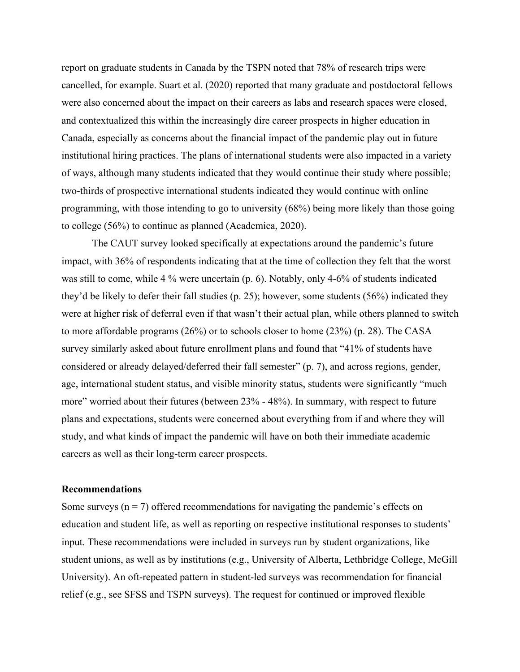report on graduate students in Canada by the TSPN noted that 78% of research trips were cancelled, for example. Suart et al. (2020) reported that many graduate and postdoctoral fellows were also concerned about the impact on their careers as labs and research spaces were closed, and contextualized this within the increasingly dire career prospects in higher education in Canada, especially as concerns about the financial impact of the pandemic play out in future institutional hiring practices. The plans of international students were also impacted in a variety of ways, although many students indicated that they would continue their study where possible; two-thirds of prospective international students indicated they would continue with online programming, with those intending to go to university (68%) being more likely than those going to college (56%) to continue as planned (Academica, 2020).

The CAUT survey looked specifically at expectations around the pandemic's future impact, with 36% of respondents indicating that at the time of collection they felt that the worst was still to come, while 4 % were uncertain (p. 6). Notably, only 4-6% of students indicated they'd be likely to defer their fall studies (p. 25); however, some students (56%) indicated they were at higher risk of deferral even if that wasn't their actual plan, while others planned to switch to more affordable programs (26%) or to schools closer to home (23%) (p. 28). The CASA survey similarly asked about future enrollment plans and found that "41% of students have considered or already delayed/deferred their fall semester" (p. 7), and across regions, gender, age, international student status, and visible minority status, students were significantly "much more" worried about their futures (between 23% - 48%). In summary, with respect to future plans and expectations, students were concerned about everything from if and where they will study, and what kinds of impact the pandemic will have on both their immediate academic careers as well as their long-term career prospects.

#### **Recommendations**

Some surveys ( $n = 7$ ) offered recommendations for navigating the pandemic's effects on education and student life, as well as reporting on respective institutional responses to students' input. These recommendations were included in surveys run by student organizations, like student unions, as well as by institutions (e.g., University of Alberta, Lethbridge College, McGill University). An oft-repeated pattern in student-led surveys was recommendation for financial relief (e.g., see SFSS and TSPN surveys). The request for continued or improved flexible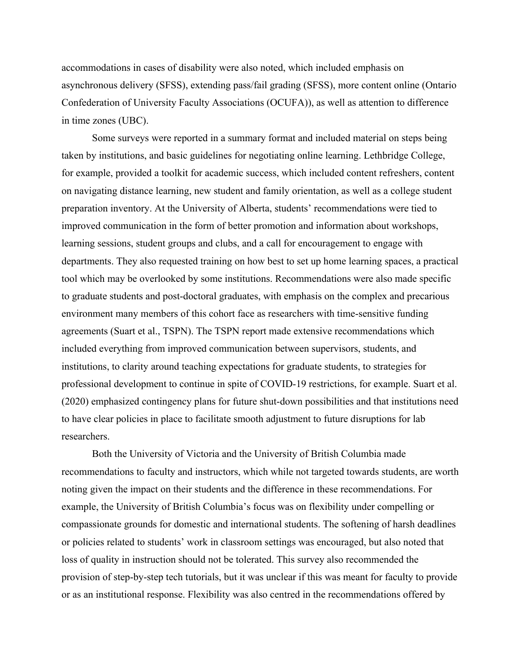accommodations in cases of disability were also noted, which included emphasis on asynchronous delivery (SFSS), extending pass/fail grading (SFSS), more content online (Ontario Confederation of University Faculty Associations (OCUFA)), as well as attention to difference in time zones (UBC).

Some surveys were reported in a summary format and included material on steps being taken by institutions, and basic guidelines for negotiating online learning. Lethbridge College, for example, provided a toolkit for academic success, which included content refreshers, content on navigating distance learning, new student and family orientation, as well as a college student preparation inventory. At the University of Alberta, students' recommendations were tied to improved communication in the form of better promotion and information about workshops, learning sessions, student groups and clubs, and a call for encouragement to engage with departments. They also requested training on how best to set up home learning spaces, a practical tool which may be overlooked by some institutions. Recommendations were also made specific to graduate students and post-doctoral graduates, with emphasis on the complex and precarious environment many members of this cohort face as researchers with time-sensitive funding agreements (Suart et al., TSPN). The TSPN report made extensive recommendations which included everything from improved communication between supervisors, students, and institutions, to clarity around teaching expectations for graduate students, to strategies for professional development to continue in spite of COVID-19 restrictions, for example. Suart et al. (2020) emphasized contingency plans for future shut-down possibilities and that institutions need to have clear policies in place to facilitate smooth adjustment to future disruptions for lab researchers.

Both the University of Victoria and the University of British Columbia made recommendations to faculty and instructors, which while not targeted towards students, are worth noting given the impact on their students and the difference in these recommendations. For example, the University of British Columbia's focus was on flexibility under compelling or compassionate grounds for domestic and international students. The softening of harsh deadlines or policies related to students' work in classroom settings was encouraged, but also noted that loss of quality in instruction should not be tolerated. This survey also recommended the provision of step-by-step tech tutorials, but it was unclear if this was meant for faculty to provide or as an institutional response. Flexibility was also centred in the recommendations offered by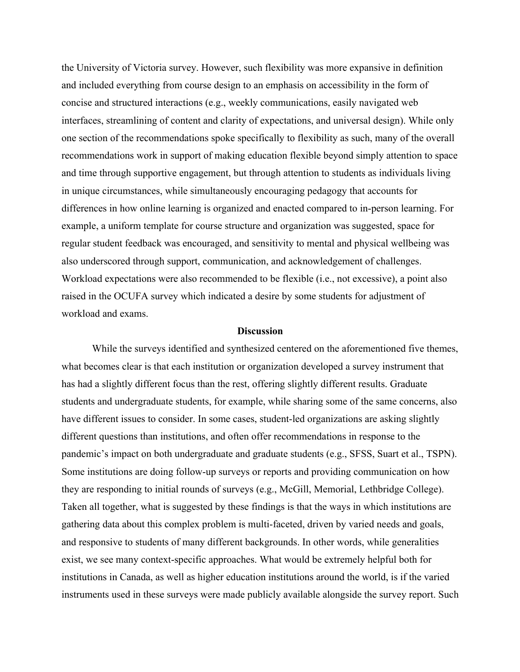the University of Victoria survey. However, such flexibility was more expansive in definition and included everything from course design to an emphasis on accessibility in the form of concise and structured interactions (e.g., weekly communications, easily navigated web interfaces, streamlining of content and clarity of expectations, and universal design). While only one section of the recommendations spoke specifically to flexibility as such, many of the overall recommendations work in support of making education flexible beyond simply attention to space and time through supportive engagement, but through attention to students as individuals living in unique circumstances, while simultaneously encouraging pedagogy that accounts for differences in how online learning is organized and enacted compared to in-person learning. For example, a uniform template for course structure and organization was suggested, space for regular student feedback was encouraged, and sensitivity to mental and physical wellbeing was also underscored through support, communication, and acknowledgement of challenges. Workload expectations were also recommended to be flexible (i.e., not excessive), a point also raised in the OCUFA survey which indicated a desire by some students for adjustment of workload and exams.

### **Discussion**

While the surveys identified and synthesized centered on the aforementioned five themes, what becomes clear is that each institution or organization developed a survey instrument that has had a slightly different focus than the rest, offering slightly different results. Graduate students and undergraduate students, for example, while sharing some of the same concerns, also have different issues to consider. In some cases, student-led organizations are asking slightly different questions than institutions, and often offer recommendations in response to the pandemic's impact on both undergraduate and graduate students (e.g., SFSS, Suart et al., TSPN). Some institutions are doing follow-up surveys or reports and providing communication on how they are responding to initial rounds of surveys (e.g., McGill, Memorial, Lethbridge College). Taken all together, what is suggested by these findings is that the ways in which institutions are gathering data about this complex problem is multi-faceted, driven by varied needs and goals, and responsive to students of many different backgrounds. In other words, while generalities exist, we see many context-specific approaches. What would be extremely helpful both for institutions in Canada, as well as higher education institutions around the world, is if the varied instruments used in these surveys were made publicly available alongside the survey report. Such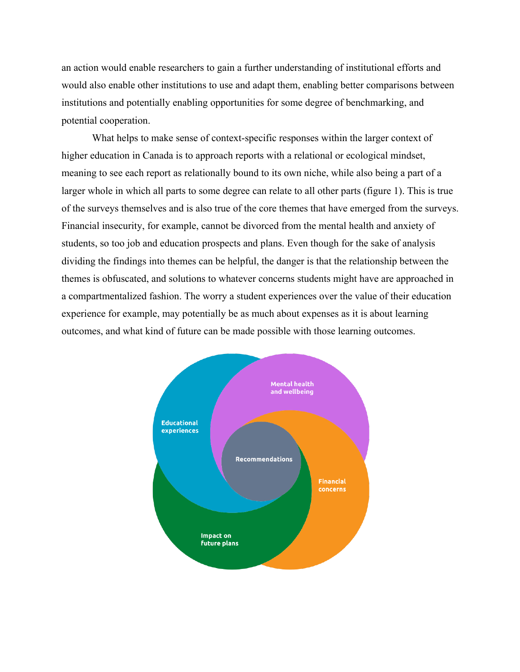an action would enable researchers to gain a further understanding of institutional efforts and would also enable other institutions to use and adapt them, enabling better comparisons between institutions and potentially enabling opportunities for some degree of benchmarking, and potential cooperation.

What helps to make sense of context-specific responses within the larger context of higher education in Canada is to approach reports with a relational or ecological mindset, meaning to see each report as relationally bound to its own niche, while also being a part of a larger whole in which all parts to some degree can relate to all other parts (figure 1). This is true of the surveys themselves and is also true of the core themes that have emerged from the surveys. Financial insecurity, for example, cannot be divorced from the mental health and anxiety of students, so too job and education prospects and plans. Even though for the sake of analysis dividing the findings into themes can be helpful, the danger is that the relationship between the themes is obfuscated, and solutions to whatever concerns students might have are approached in a compartmentalized fashion. The worry a student experiences over the value of their education experience for example, may potentially be as much about expenses as it is about learning outcomes, and what kind of future can be made possible with those learning outcomes.

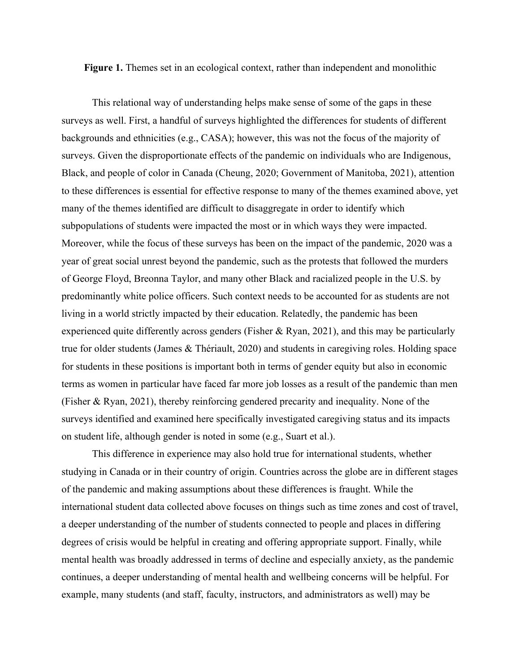**Figure 1.** Themes set in an ecological context, rather than independent and monolithic

This relational way of understanding helps make sense of some of the gaps in these surveys as well. First, a handful of surveys highlighted the differences for students of different backgrounds and ethnicities (e.g., CASA); however, this was not the focus of the majority of surveys. Given the disproportionate effects of the pandemic on individuals who are Indigenous, Black, and people of color in Canada (Cheung, 2020; Government of Manitoba, 2021), attention to these differences is essential for effective response to many of the themes examined above, yet many of the themes identified are difficult to disaggregate in order to identify which subpopulations of students were impacted the most or in which ways they were impacted. Moreover, while the focus of these surveys has been on the impact of the pandemic, 2020 was a year of great social unrest beyond the pandemic, such as the protests that followed the murders of George Floyd, Breonna Taylor, and many other Black and racialized people in the U.S. by predominantly white police officers. Such context needs to be accounted for as students are not living in a world strictly impacted by their education. Relatedly, the pandemic has been experienced quite differently across genders (Fisher & Ryan, 2021), and this may be particularly true for older students (James & Thériault, 2020) and students in caregiving roles. Holding space for students in these positions is important both in terms of gender equity but also in economic terms as women in particular have faced far more job losses as a result of the pandemic than men (Fisher & Ryan, 2021), thereby reinforcing gendered precarity and inequality. None of the surveys identified and examined here specifically investigated caregiving status and its impacts on student life, although gender is noted in some (e.g., Suart et al.).

This difference in experience may also hold true for international students, whether studying in Canada or in their country of origin. Countries across the globe are in different stages of the pandemic and making assumptions about these differences is fraught. While the international student data collected above focuses on things such as time zones and cost of travel, a deeper understanding of the number of students connected to people and places in differing degrees of crisis would be helpful in creating and offering appropriate support. Finally, while mental health was broadly addressed in terms of decline and especially anxiety, as the pandemic continues, a deeper understanding of mental health and wellbeing concerns will be helpful. For example, many students (and staff, faculty, instructors, and administrators as well) may be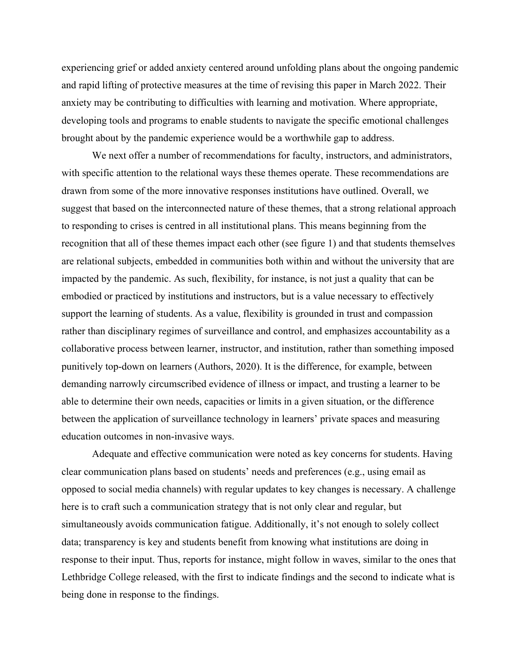experiencing grief or added anxiety centered around unfolding plans about the ongoing pandemic and rapid lifting of protective measures at the time of revising this paper in March 2022. Their anxiety may be contributing to difficulties with learning and motivation. Where appropriate, developing tools and programs to enable students to navigate the specific emotional challenges brought about by the pandemic experience would be a worthwhile gap to address.

We next offer a number of recommendations for faculty, instructors, and administrators, with specific attention to the relational ways these themes operate. These recommendations are drawn from some of the more innovative responses institutions have outlined. Overall, we suggest that based on the interconnected nature of these themes, that a strong relational approach to responding to crises is centred in all institutional plans. This means beginning from the recognition that all of these themes impact each other (see figure 1) and that students themselves are relational subjects, embedded in communities both within and without the university that are impacted by the pandemic. As such, flexibility, for instance, is not just a quality that can be embodied or practiced by institutions and instructors, but is a value necessary to effectively support the learning of students. As a value, flexibility is grounded in trust and compassion rather than disciplinary regimes of surveillance and control, and emphasizes accountability as a collaborative process between learner, instructor, and institution, rather than something imposed punitively top-down on learners (Authors, 2020). It is the difference, for example, between demanding narrowly circumscribed evidence of illness or impact, and trusting a learner to be able to determine their own needs, capacities or limits in a given situation, or the difference between the application of surveillance technology in learners' private spaces and measuring education outcomes in non-invasive ways.

Adequate and effective communication were noted as key concerns for students. Having clear communication plans based on students' needs and preferences (e.g., using email as opposed to social media channels) with regular updates to key changes is necessary. A challenge here is to craft such a communication strategy that is not only clear and regular, but simultaneously avoids communication fatigue. Additionally, it's not enough to solely collect data; transparency is key and students benefit from knowing what institutions are doing in response to their input. Thus, reports for instance, might follow in waves, similar to the ones that Lethbridge College released, with the first to indicate findings and the second to indicate what is being done in response to the findings.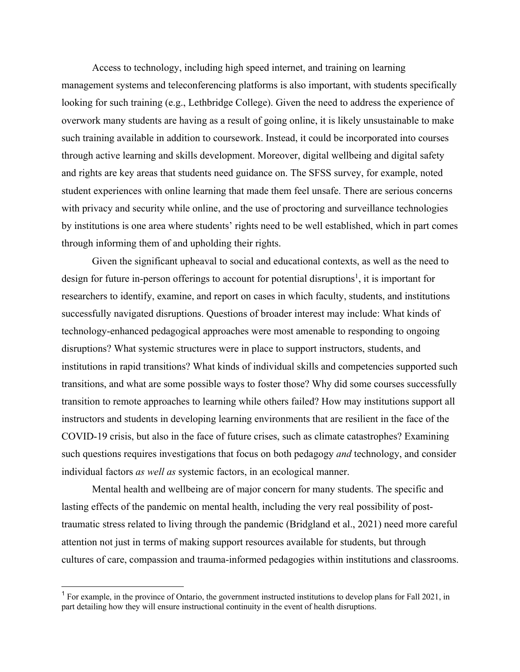Access to technology, including high speed internet, and training on learning management systems and teleconferencing platforms is also important, with students specifically looking for such training (e.g., Lethbridge College). Given the need to address the experience of overwork many students are having as a result of going online, it is likely unsustainable to make such training available in addition to coursework. Instead, it could be incorporated into courses through active learning and skills development. Moreover, digital wellbeing and digital safety and rights are key areas that students need guidance on. The SFSS survey, for example, noted student experiences with online learning that made them feel unsafe. There are serious concerns with privacy and security while online, and the use of proctoring and surveillance technologies by institutions is one area where students' rights need to be well established, which in part comes through informing them of and upholding their rights.

Given the significant upheaval to social and educational contexts, as well as the need to design for future in-person offerings to account for potential disruptions<sup>1</sup>, it is important for researchers to identify, examine, and report on cases in which faculty, students, and institutions successfully navigated disruptions. Questions of broader interest may include: What kinds of technology-enhanced pedagogical approaches were most amenable to responding to ongoing disruptions? What systemic structures were in place to support instructors, students, and institutions in rapid transitions? What kinds of individual skills and competencies supported such transitions, and what are some possible ways to foster those? Why did some courses successfully transition to remote approaches to learning while others failed? How may institutions support all instructors and students in developing learning environments that are resilient in the face of the COVID-19 crisis, but also in the face of future crises, such as climate catastrophes? Examining such questions requires investigations that focus on both pedagogy *and* technology, and consider individual factors *as well as* systemic factors, in an ecological manner.

Mental health and wellbeing are of major concern for many students. The specific and lasting effects of the pandemic on mental health, including the very real possibility of posttraumatic stress related to living through the pandemic (Bridgland et al., 2021) need more careful attention not just in terms of making support resources available for students, but through cultures of care, compassion and trauma-informed pedagogies within institutions and classrooms.

<sup>&</sup>lt;sup>1</sup> For example, in the province of Ontario, the government instructed institutions to develop plans for Fall 2021, in part detailing how they will ensure instructional continuity in the event of health disruptions.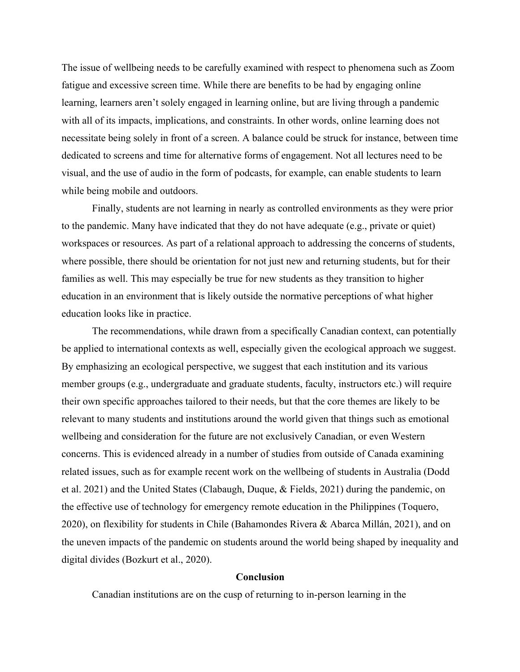The issue of wellbeing needs to be carefully examined with respect to phenomena such as Zoom fatigue and excessive screen time. While there are benefits to be had by engaging online learning, learners aren't solely engaged in learning online, but are living through a pandemic with all of its impacts, implications, and constraints. In other words, online learning does not necessitate being solely in front of a screen. A balance could be struck for instance, between time dedicated to screens and time for alternative forms of engagement. Not all lectures need to be visual, and the use of audio in the form of podcasts, for example, can enable students to learn while being mobile and outdoors.

Finally, students are not learning in nearly as controlled environments as they were prior to the pandemic. Many have indicated that they do not have adequate (e.g., private or quiet) workspaces or resources. As part of a relational approach to addressing the concerns of students, where possible, there should be orientation for not just new and returning students, but for their families as well. This may especially be true for new students as they transition to higher education in an environment that is likely outside the normative perceptions of what higher education looks like in practice.

The recommendations, while drawn from a specifically Canadian context, can potentially be applied to international contexts as well, especially given the ecological approach we suggest. By emphasizing an ecological perspective, we suggest that each institution and its various member groups (e.g., undergraduate and graduate students, faculty, instructors etc.) will require their own specific approaches tailored to their needs, but that the core themes are likely to be relevant to many students and institutions around the world given that things such as emotional wellbeing and consideration for the future are not exclusively Canadian, or even Western concerns. This is evidenced already in a number of studies from outside of Canada examining related issues, such as for example recent work on the wellbeing of students in Australia (Dodd et al. 2021) and the United States (Clabaugh, Duque, & Fields, 2021) during the pandemic, on the effective use of technology for emergency remote education in the Philippines (Toquero, 2020), on flexibility for students in Chile (Bahamondes Rivera & Abarca Millán, 2021), and on the uneven impacts of the pandemic on students around the world being shaped by inequality and digital divides (Bozkurt et al., 2020).

#### **Conclusion**

Canadian institutions are on the cusp of returning to in-person learning in the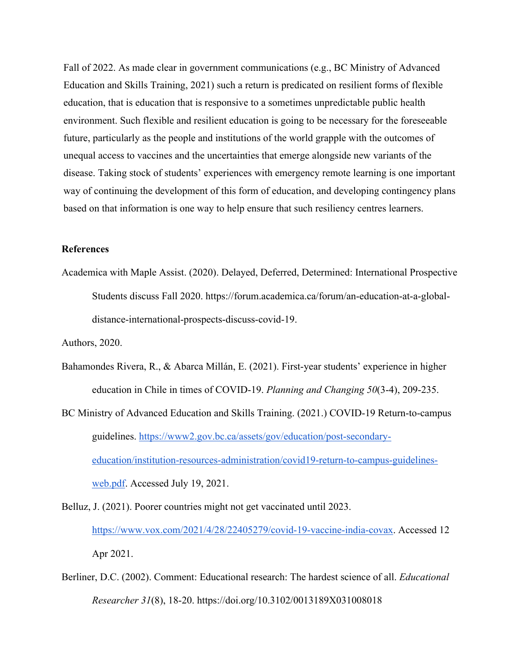Fall of 2022. As made clear in government communications (e.g., BC Ministry of Advanced Education and Skills Training, 2021) such a return is predicated on resilient forms of flexible education, that is education that is responsive to a sometimes unpredictable public health environment. Such flexible and resilient education is going to be necessary for the foreseeable future, particularly as the people and institutions of the world grapple with the outcomes of unequal access to vaccines and the uncertainties that emerge alongside new variants of the disease. Taking stock of students' experiences with emergency remote learning is one important way of continuing the development of this form of education, and developing contingency plans based on that information is one way to help ensure that such resiliency centres learners.

### **References**

Academica with Maple Assist. (2020). Delayed, Deferred, Determined: International Prospective Students discuss Fall 2020. https://forum.academica.ca/forum/an-education-at-a-globaldistance-international-prospects-discuss-covid-19.

Authors, 2020.

- Bahamondes Rivera, R., & Abarca Millán, E. (2021). First-year students' experience in higher education in Chile in times of COVID-19. *Planning and Changing 50*(3-4), 209-235.
- BC Ministry of Advanced Education and Skills Training. (2021.) COVID-19 Return-to-campus guidelines. https://www2.gov.bc.ca/assets/gov/education/post-secondaryeducation/institution-resources-administration/covid19-return-to-campus-guidelinesweb.pdf. Accessed July 19, 2021.
- Belluz, J. (2021). Poorer countries might not get vaccinated until 2023. https://www.vox.com/2021/4/28/22405279/covid-19-vaccine-india-covax. Accessed 12 Apr 2021.
- Berliner, D.C. (2002). Comment: Educational research: The hardest science of all. *Educational Researcher 31*(8), 18-20. https://doi.org/10.3102/0013189X031008018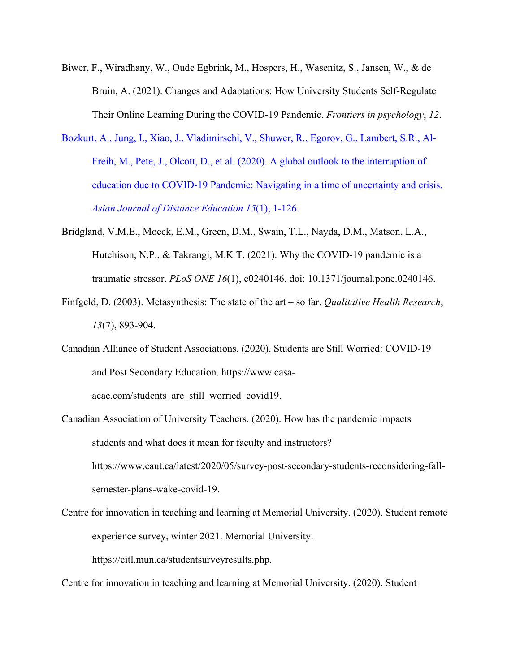- Biwer, F., Wiradhany, W., Oude Egbrink, M., Hospers, H., Wasenitz, S., Jansen, W., & de Bruin, A. (2021). Changes and Adaptations: How University Students Self-Regulate Their Online Learning During the COVID-19 Pandemic. *Frontiers in psychology*, *12*.
- Bozkurt, A., Jung, I., Xiao, J., Vladimirschi, V., Shuwer, R., Egorov, G., Lambert, S.R., Al-Freih, M., Pete, J., Olcott, D., et al. (2020). A global outlook to the interruption of education due to COVID-19 Pandemic: Navigating in a time of uncertainty and crisis. *Asian Journal of Distance Education 15*(1), 1-126.
- Bridgland, V.M.E., Moeck, E.M., Green, D.M., Swain, T.L., Nayda, D.M., Matson, L.A., Hutchison, N.P., & Takrangi, M.K T. (2021). Why the COVID-19 pandemic is a traumatic stressor. *PLoS ONE 16*(1), e0240146. doi: 10.1371/journal.pone.0240146.
- Finfgeld, D. (2003). Metasynthesis: The state of the art so far. *Qualitative Health Research*, *13*(7), 893-904.
- Canadian Alliance of Student Associations. (2020). Students are Still Worried: COVID-19 and Post Secondary Education. https://www.casa-

acae.com/students\_are\_still\_worried\_covid19.

- Canadian Association of University Teachers. (2020). How has the pandemic impacts students and what does it mean for faculty and instructors? https://www.caut.ca/latest/2020/05/survey-post-secondary-students-reconsidering-fallsemester-plans-wake-covid-19.
- Centre for innovation in teaching and learning at Memorial University. (2020). Student remote experience survey, winter 2021. Memorial University.

https://citl.mun.ca/studentsurveyresults.php.

Centre for innovation in teaching and learning at Memorial University. (2020). Student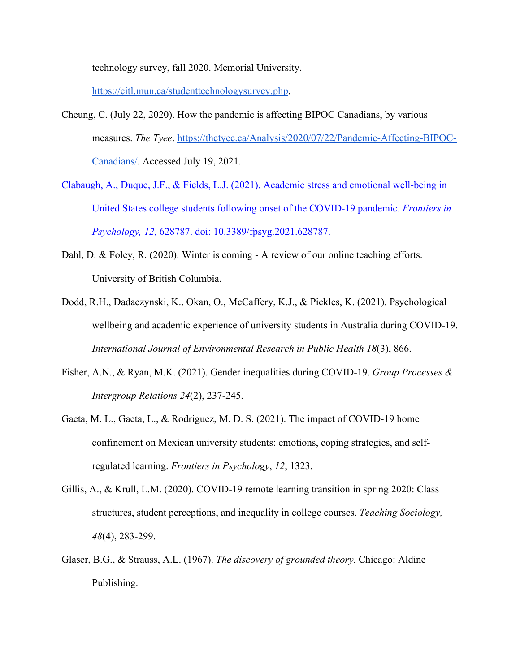technology survey, fall 2020. Memorial University.

https://citl.mun.ca/studenttechnologysurvey.php.

- Cheung, C. (July 22, 2020). How the pandemic is affecting BIPOC Canadians, by various measures. *The Tyee*. https://thetyee.ca/Analysis/2020/07/22/Pandemic-Affecting-BIPOC-Canadians/. Accessed July 19, 2021.
- Clabaugh, A., Duque, J.F., & Fields, L.J. (2021). Academic stress and emotional well-being in United States college students following onset of the COVID-19 pandemic. *Frontiers in Psychology, 12,* 628787. doi: 10.3389/fpsyg.2021.628787.
- Dahl, D. & Foley, R. (2020). Winter is coming A review of our online teaching efforts. University of British Columbia.
- Dodd, R.H., Dadaczynski, K., Okan, O., McCaffery, K.J., & Pickles, K. (2021). Psychological wellbeing and academic experience of university students in Australia during COVID-19. *International Journal of Environmental Research in Public Health 18*(3), 866.
- Fisher, A.N., & Ryan, M.K. (2021). Gender inequalities during COVID-19. *Group Processes & Intergroup Relations 24*(2), 237-245.
- Gaeta, M. L., Gaeta, L., & Rodriguez, M. D. S. (2021). The impact of COVID-19 home confinement on Mexican university students: emotions, coping strategies, and selfregulated learning. *Frontiers in Psychology*, *12*, 1323.
- Gillis, A., & Krull, L.M. (2020). COVID-19 remote learning transition in spring 2020: Class structures, student perceptions, and inequality in college courses. *Teaching Sociology, 48*(4), 283-299.
- Glaser, B.G., & Strauss, A.L. (1967). *The discovery of grounded theory.* Chicago: Aldine Publishing.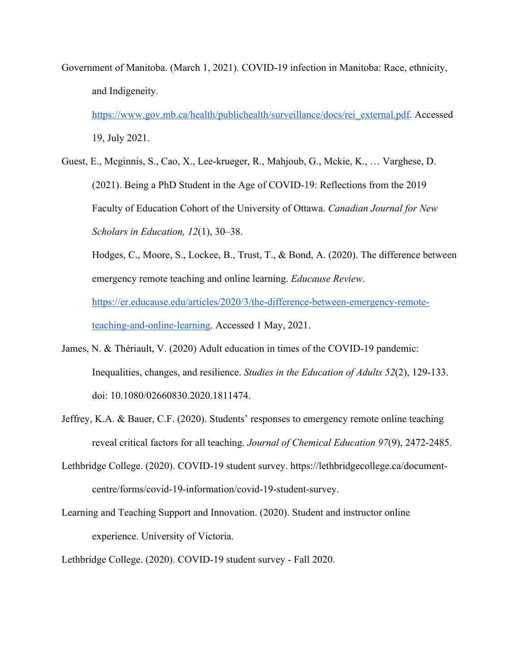Government of Manitoba. (March 1, 2021). COVID-19 infection in Manitoba: Race, ethnicity, and Indigeneity.

https://www.gov.mb.ca/health/publichealth/surveillance/docs/rei\_external.pdf. Accessed 19, July 2021.

Guest, E., Mcginnis, S., Cao, X., Lee-krueger, R., Mahjoub, G., Mckie, K., … Varghese, D. (2021). Being a PhD Student in the Age of COVID-19: Reflections from the 2019 Faculty of Education Cohort of the University of Ottawa. *Canadian Journal for New Scholars in Education, 12*(1), 30–38.

Hodges, C., Moore, S., Lockee, B., Trust, T., & Bond, A. (2020). The difference between emergency remote teaching and online learning. *Educause Review*. https://er.educause.edu/articles/2020/3/the-difference-between-emergency-remoteteaching-and-online-learning. Accessed 1 May, 2021.

- James, N. & Thériault, V. (2020) Adult education in times of the COVID-19 pandemic: Inequalities, changes, and resilience. *Studies in the Education of Adults 52*(2), 129-133. doi: 10.1080/02660830.2020.1811474.
- Jeffrey, K.A. & Bauer, C.F. (2020). Students' responses to emergency remote online teaching reveal critical factors for all teaching. *Journal of Chemical Education 97*(9), 2472-2485.
- Lethbridge College. (2020). COVID-19 student survey. https://lethbridgecollege.ca/documentcentre/forms/covid-19-information/covid-19-student-survey.
- Learning and Teaching Support and Innovation. (2020). Student and instructor online experience. University of Victoria.

Lethbridge College. (2020). COVID-19 student survey - Fall 2020.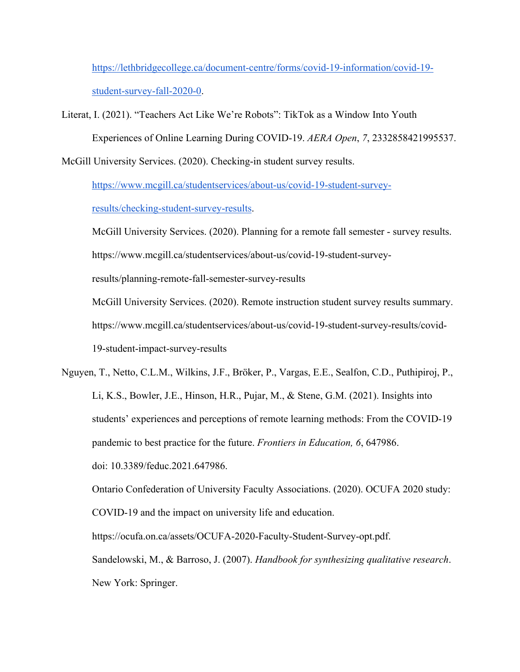https://lethbridgecollege.ca/document-centre/forms/covid-19-information/covid-19 student-survey-fall-2020-0.

Literat, I. (2021). "Teachers Act Like We're Robots": TikTok as a Window Into Youth Experiences of Online Learning During COVID-19. *AERA Open*, *7*, 2332858421995537.

McGill University Services. (2020). Checking-in student survey results.

https://www.mcgill.ca/studentservices/about-us/covid-19-student-survey-

results/checking-student-survey-results.

McGill University Services. (2020). Planning for a remote fall semester - survey results.

https://www.mcgill.ca/studentservices/about-us/covid-19-student-survey-

results/planning-remote-fall-semester-survey-results

McGill University Services. (2020). Remote instruction student survey results summary. https://www.mcgill.ca/studentservices/about-us/covid-19-student-survey-results/covid-19-student-impact-survey-results

Nguyen, T., Netto, C.L.M., Wilkins, J.F., Bröker, P., Vargas, E.E., Sealfon, C.D., Puthipiroj, P., Li, K.S., Bowler, J.E., Hinson, H.R., Pujar, M., & Stene, G.M. (2021). Insights into students' experiences and perceptions of remote learning methods: From the COVID-19 pandemic to best practice for the future. *Frontiers in Education, 6*, 647986. doi: 10.3389/feduc.2021.647986.

Ontario Confederation of University Faculty Associations. (2020). OCUFA 2020 study: COVID-19 and the impact on university life and education. https://ocufa.on.ca/assets/OCUFA-2020-Faculty-Student-Survey-opt.pdf.

Sandelowski, M., & Barroso, J. (2007). *Handbook for synthesizing qualitative research*. New York: Springer.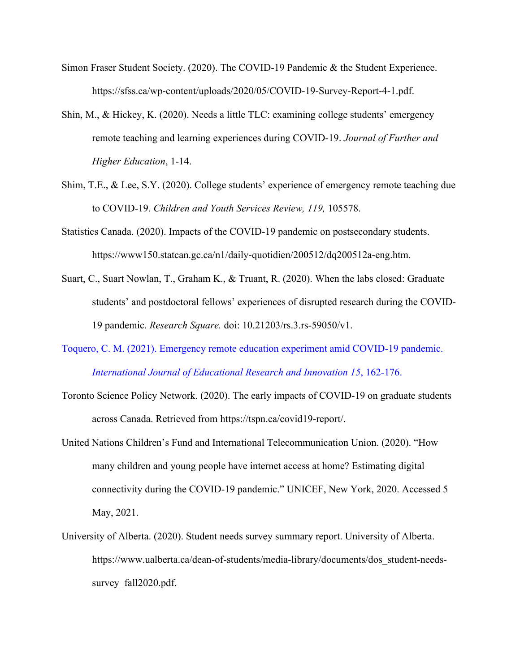- Simon Fraser Student Society. (2020). The COVID-19 Pandemic & the Student Experience. https://sfss.ca/wp-content/uploads/2020/05/COVID-19-Survey-Report-4-1.pdf.
- Shin, M., & Hickey, K. (2020). Needs a little TLC: examining college students' emergency remote teaching and learning experiences during COVID-19. *Journal of Further and Higher Education*, 1-14.
- Shim, T.E., & Lee, S.Y. (2020). College students' experience of emergency remote teaching due to COVID-19. *Children and Youth Services Review, 119,* 105578.
- Statistics Canada. (2020). Impacts of the COVID-19 pandemic on postsecondary students. https://www150.statcan.gc.ca/n1/daily-quotidien/200512/dq200512a-eng.htm.
- Suart, C., Suart Nowlan, T., Graham K., & Truant, R. (2020). When the labs closed: Graduate students' and postdoctoral fellows' experiences of disrupted research during the COVID-19 pandemic. *Research Square.* doi: 10.21203/rs.3.rs-59050/v1.
- Toquero, C. M. (2021). Emergency remote education experiment amid COVID-19 pandemic. *International Journal of Educational Research and Innovation 15*, 162-176.
- Toronto Science Policy Network. (2020). The early impacts of COVID-19 on graduate students across Canada. Retrieved from https://tspn.ca/covid19-report/.
- United Nations Children's Fund and International Telecommunication Union. (2020). "How many children and young people have internet access at home? Estimating digital connectivity during the COVID-19 pandemic." UNICEF, New York, 2020. Accessed 5 May, 2021.
- University of Alberta. (2020). Student needs survey summary report. University of Alberta. https://www.ualberta.ca/dean-of-students/media-library/documents/dos\_student-needssurvey fall2020.pdf.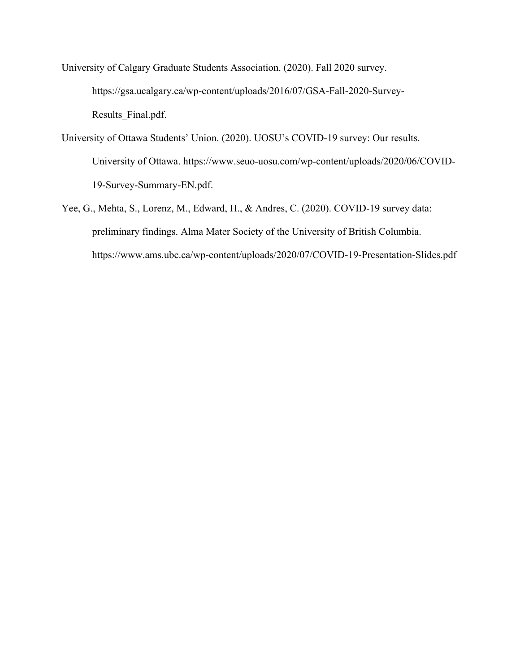University of Calgary Graduate Students Association. (2020). Fall 2020 survey. https://gsa.ucalgary.ca/wp-content/uploads/2016/07/GSA-Fall-2020-Survey-Results\_Final.pdf.

- University of Ottawa Students' Union. (2020). UOSU's COVID-19 survey: Our results. University of Ottawa. https://www.seuo-uosu.com/wp-content/uploads/2020/06/COVID-19-Survey-Summary-EN.pdf.
- Yee, G., Mehta, S., Lorenz, M., Edward, H., & Andres, C. (2020). COVID-19 survey data: preliminary findings. Alma Mater Society of the University of British Columbia. https://www.ams.ubc.ca/wp-content/uploads/2020/07/COVID-19-Presentation-Slides.pdf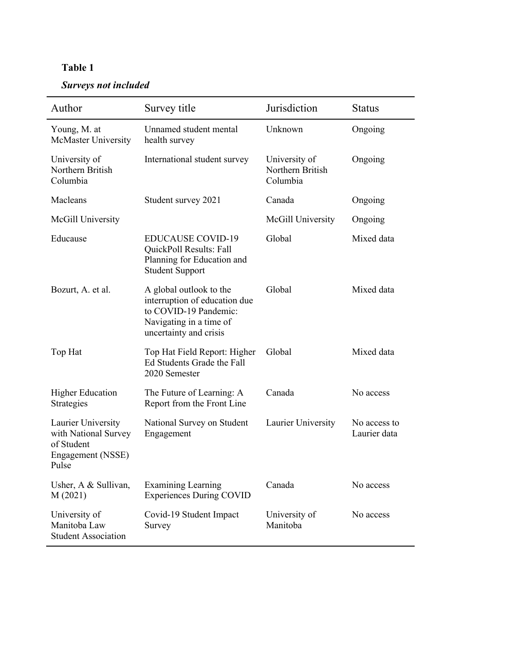# **Table 1**

# *Surveys not included*

| Author                                                                                 | Survey title                                                                                                                           | Jurisdiction                                  | <b>Status</b>                |
|----------------------------------------------------------------------------------------|----------------------------------------------------------------------------------------------------------------------------------------|-----------------------------------------------|------------------------------|
| Young, M. at<br><b>McMaster University</b>                                             | Unnamed student mental<br>health survey                                                                                                | Unknown                                       | Ongoing                      |
| University of<br>Northern British<br>Columbia                                          | International student survey                                                                                                           | University of<br>Northern British<br>Columbia | Ongoing                      |
| Macleans                                                                               | Student survey 2021                                                                                                                    | Canada                                        | Ongoing                      |
| McGill University                                                                      |                                                                                                                                        | McGill University                             | Ongoing                      |
| Educause                                                                               | <b>EDUCAUSE COVID-19</b><br>QuickPoll Results: Fall<br>Planning for Education and<br><b>Student Support</b>                            | Global                                        | Mixed data                   |
| Bozurt, A. et al.                                                                      | A global outlook to the<br>interruption of education due<br>to COVID-19 Pandemic:<br>Navigating in a time of<br>uncertainty and crisis | Global                                        | Mixed data                   |
| Top Hat                                                                                | Top Hat Field Report: Higher<br>Ed Students Grade the Fall<br>2020 Semester                                                            | Global                                        | Mixed data                   |
| <b>Higher Education</b><br>Strategies                                                  | The Future of Learning: A<br>Report from the Front Line                                                                                | Canada                                        | No access                    |
| Laurier University<br>with National Survey<br>of Student<br>Engagement (NSSE)<br>Pulse | National Survey on Student<br>Engagement                                                                                               | Laurier University                            | No access to<br>Laurier data |
| Usher, A & Sullivan,<br>M(2021)                                                        | <b>Examining Learning</b><br><b>Experiences During COVID</b>                                                                           | Canada                                        | No access                    |
| University of<br>Manitoba Law<br><b>Student Association</b>                            | Covid-19 Student Impact<br>Survey                                                                                                      | University of<br>Manitoba                     | No access                    |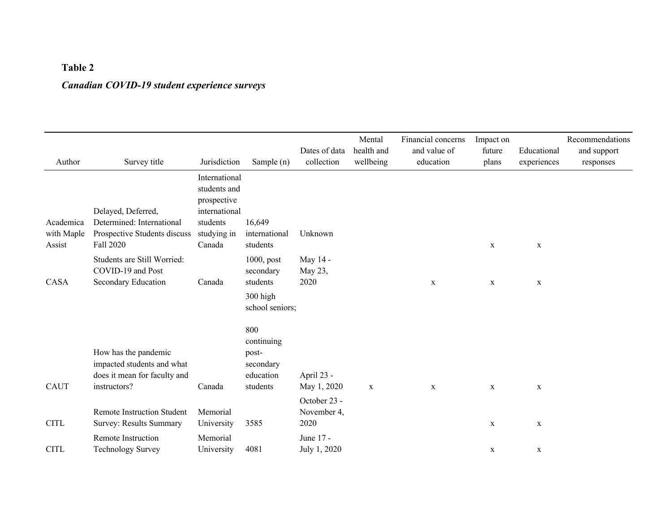# **Table 2** *Canadian COVID-19 student experience surveys*

| Author                            | Survey title                                                                                       | Jurisdiction                                                                                       | Sample (n)                                                            | Dates of data<br>collection                      | Mental<br>health and<br>wellbeing | Financial concerns<br>and value of<br>education | Impact on<br>future<br>plans | Educational<br>experiences | Recommendations<br>and support<br>responses |
|-----------------------------------|----------------------------------------------------------------------------------------------------|----------------------------------------------------------------------------------------------------|-----------------------------------------------------------------------|--------------------------------------------------|-----------------------------------|-------------------------------------------------|------------------------------|----------------------------|---------------------------------------------|
| Academica<br>with Maple<br>Assist | Delayed, Deferred,<br>Determined: International<br>Prospective Students discuss<br>Fall 2020       | International<br>students and<br>prospective<br>international<br>students<br>studying in<br>Canada | 16,649<br>international<br>students                                   | Unknown                                          |                                   |                                                 | $\mathbf x$                  | $\mathbf X$                |                                             |
| CASA                              | Students are Still Worried:<br>COVID-19 and Post<br>Secondary Education                            | Canada                                                                                             | $1000$ , post<br>secondary<br>students<br>300 high<br>school seniors; | May 14 -<br>May 23,<br>2020                      |                                   | $\mathbf x$                                     | $\mathbf x$                  | $\mathbf X$                |                                             |
| <b>CAUT</b>                       | How has the pandemic<br>impacted students and what<br>does it mean for faculty and<br>instructors? | Canada                                                                                             | 800<br>continuing<br>post-<br>secondary<br>education<br>students      | April 23 -<br>May 1, 2020                        | $\mathbf x$                       | $\mathbf x$                                     | $\mathbf x$                  | $\mathbf X$                |                                             |
| <b>CITL</b>                       | <b>Remote Instruction Student</b><br>Survey: Results Summary<br>Remote Instruction                 | Memorial<br>University<br>Memorial                                                                 | 3585                                                                  | October 23 -<br>November 4,<br>2020<br>June 17 - |                                   |                                                 | $\mathbf X$                  | $\mathbf X$                |                                             |
| <b>CITL</b>                       | <b>Technology Survey</b>                                                                           | University                                                                                         | 4081                                                                  | July 1, 2020                                     |                                   |                                                 | $\mathbf x$                  | $\mathbf X$                |                                             |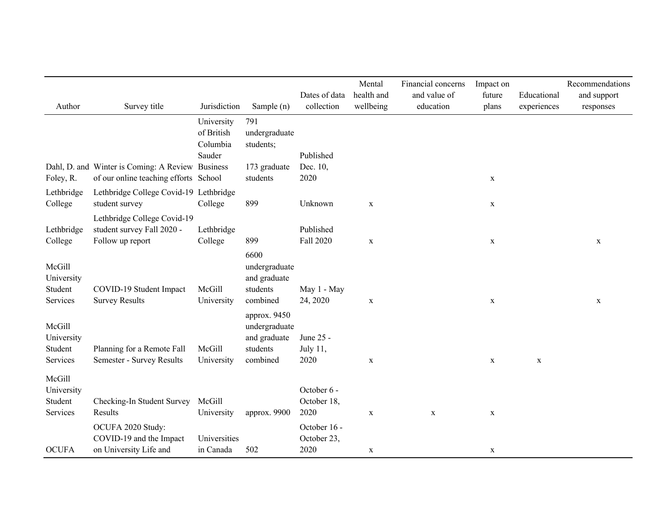| Author                                      | Survey title                                                                  | Jurisdiction                         | Sample (n)                                                            | Dates of data<br>collection         | Mental<br>health and<br>wellbeing | Financial concerns<br>and value of<br>education | Impact on<br>future<br>plans | Educational<br>experiences | Recommendations<br>and support<br>responses |
|---------------------------------------------|-------------------------------------------------------------------------------|--------------------------------------|-----------------------------------------------------------------------|-------------------------------------|-----------------------------------|-------------------------------------------------|------------------------------|----------------------------|---------------------------------------------|
|                                             |                                                                               | University<br>of British<br>Columbia | 791<br>undergraduate<br>students;                                     |                                     |                                   |                                                 |                              |                            |                                             |
|                                             | Dahl, D. and Winter is Coming: A Review Business                              | Sauder                               | 173 graduate                                                          | Published<br>Dec. 10,               |                                   |                                                 |                              |                            |                                             |
| Foley, R.                                   | of our online teaching efforts School                                         |                                      | students                                                              | 2020                                |                                   |                                                 | $\mathbf x$                  |                            |                                             |
| Lethbridge<br>College                       | Lethbridge College Covid-19 Lethbridge<br>student survey                      | College                              | 899                                                                   | Unknown                             | $\mathbf X$                       |                                                 | $\mathbf X$                  |                            |                                             |
| Lethbridge<br>College                       | Lethbridge College Covid-19<br>student survey Fall 2020 -<br>Follow up report | Lethbridge<br>College                | 899                                                                   | Published<br>Fall 2020              | $\mathbf X$                       |                                                 | $\mathbf x$                  |                            | $\mathbf X$                                 |
| McGill<br>University<br>Student<br>Services | COVID-19 Student Impact<br><b>Survey Results</b>                              | McGill<br>University                 | 6600<br>undergraduate<br>and graduate<br>students<br>combined         | May 1 - May<br>24, 2020             | $\mathbf X$                       |                                                 | $\mathbf X$                  |                            | $\mathbf X$                                 |
| McGill<br>University<br>Student<br>Services | Planning for a Remote Fall<br>Semester - Survey Results                       | McGill<br>University                 | approx. 9450<br>undergraduate<br>and graduate<br>students<br>combined | June 25 -<br>July 11,<br>2020       | $\mathbf X$                       |                                                 | $\mathbf X$                  | $\mathbf X$                |                                             |
| McGill<br>University<br>Student<br>Services | Checking-In Student Survey<br>Results                                         | McGill<br>University                 | approx. 9900                                                          | October 6 -<br>October 18,<br>2020  | $\mathbf X$                       | $\mathbf X$                                     | $\mathbf X$                  |                            |                                             |
| <b>OCUFA</b>                                | OCUFA 2020 Study:<br>COVID-19 and the Impact<br>on University Life and        | Universities<br>in Canada            | 502                                                                   | October 16 -<br>October 23,<br>2020 | $\mathbf X$                       |                                                 | $\mathbf X$                  |                            |                                             |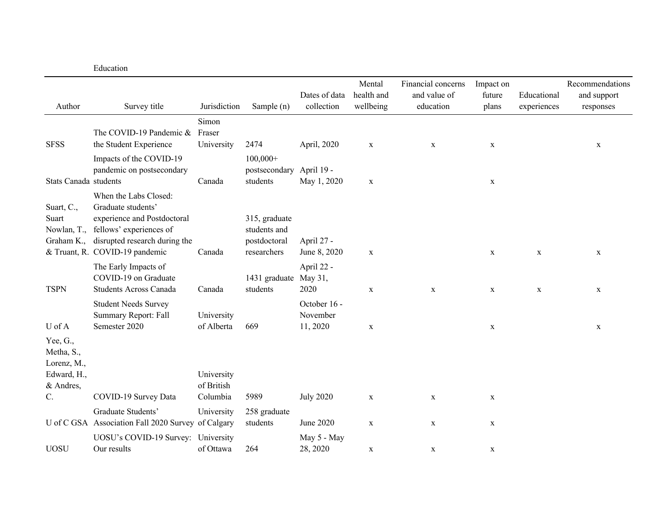|                                                                   | Education                                                                                                                              |                          |                                               |                                     |                                   |                                                 |                              |                            |                                             |
|-------------------------------------------------------------------|----------------------------------------------------------------------------------------------------------------------------------------|--------------------------|-----------------------------------------------|-------------------------------------|-----------------------------------|-------------------------------------------------|------------------------------|----------------------------|---------------------------------------------|
| Author                                                            | Survey title                                                                                                                           | Jurisdiction             | Sample (n)                                    | Dates of data<br>collection         | Mental<br>health and<br>wellbeing | Financial concerns<br>and value of<br>education | Impact on<br>future<br>plans | Educational<br>experiences | Recommendations<br>and support<br>responses |
|                                                                   |                                                                                                                                        | Simon                    |                                               |                                     |                                   |                                                 |                              |                            |                                             |
| <b>SFSS</b>                                                       | The COVID-19 Pandemic &<br>the Student Experience                                                                                      | Fraser<br>University     | 2474                                          | April, 2020                         | $\mathbf X$                       | $\mathbf X$                                     | $\mathbf X$                  |                            | X                                           |
|                                                                   | Impacts of the COVID-19<br>pandemic on postsecondary                                                                                   |                          | $100,000+$<br>postsecondary                   | April 19 -                          |                                   |                                                 |                              |                            |                                             |
| Stats Canada students                                             |                                                                                                                                        | Canada                   | students                                      | May 1, 2020                         | $\mathbf X$                       |                                                 | $\mathbf X$                  |                            |                                             |
| Suart, C.,<br>Suart<br>Nowlan, T.,<br>Graham K.,                  | When the Labs Closed:<br>Graduate students'<br>experience and Postdoctoral<br>fellows' experiences of<br>disrupted research during the |                          | 315, graduate<br>students and<br>postdoctoral | April 27 -                          |                                   |                                                 |                              |                            |                                             |
|                                                                   | & Truant, R. COVID-19 pandemic                                                                                                         | Canada                   | researchers                                   | June 8, 2020                        | $\mathbf X$                       |                                                 | $\mathbf X$                  | $\mathbf X$                | $\mathbf X$                                 |
| <b>TSPN</b>                                                       | The Early Impacts of<br>COVID-19 on Graduate<br><b>Students Across Canada</b>                                                          | Canada                   | 1431 graduate<br>students                     | April 22 -<br>May 31,<br>2020       | $\mathbf X$                       | $\mathbf X$                                     | $\mathbf X$                  | $\mathbf X$                | $\mathbf X$                                 |
| U of A                                                            | <b>Student Needs Survey</b><br>Summary Report: Fall<br>Semester 2020                                                                   | University<br>of Alberta | 669                                           | October 16 -<br>November<br>11,2020 | $\mathbf X$                       |                                                 | $\mathbf X$                  |                            | $\mathbf X$                                 |
| Yee, G.,<br>Metha, S.,<br>Lorenz, M.,<br>Edward, H.,<br>& Andres, |                                                                                                                                        | University<br>of British |                                               |                                     |                                   |                                                 |                              |                            |                                             |
| C.                                                                | COVID-19 Survey Data                                                                                                                   | Columbia                 | 5989                                          | <b>July 2020</b>                    | $\mathbf X$                       | $\mathbf X$                                     | $\mathbf X$                  |                            |                                             |
|                                                                   | Graduate Students'<br>U of C GSA Association Fall 2020 Survey of Calgary                                                               | University               | 258 graduate<br>students                      | June 2020                           | $\mathbf X$                       | $\mathbf X$                                     | $\mathbf X$                  |                            |                                             |
| <b>UOSU</b>                                                       | UOSU's COVID-19 Survey: University<br>Our results                                                                                      | of Ottawa                | 264                                           | May 5 - May<br>28, 2020             | $\mathbf X$                       | $\mathbf x$                                     | $\mathbf X$                  |                            |                                             |